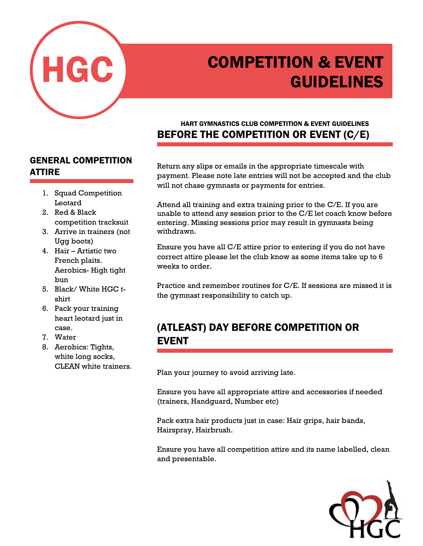

# COMPETITION & EVENT GUIDELINES

#### HART GYMNASTICS CLUB COMPETITION & EVENT GUIDELINES BEFORE THE COMPETITION OR EVENT (C/E)

Return any slips or emails in the appropriate timescale with payment. Please note late entries will not be accepted and the club will not chase gymnasts or payments for entries.

Attend all training and extra training prior to the C/E. If you are unable to attend any session prior to the C/E let coach know before entering. Missing sessions prior may result in gymnasts being withdrawn.

Ensure you have all C/E attire prior to entering if you do not have correct attire please let the club know as some items take up to 6 weeks to order.

Practice and remember routines for C/E. If sessions are missed it is the gymnast responsibility to catch up.

### (ATLEAST) DAY BEFORE COMPETITION OR EVENT

Plan your journey to avoid arriving late.

Ensure you have all appropriate attire and accessories if needed (trainers, Handguard, Number etc)

Pack extra hair products just in case: Hair grips, hair bands, Hairspray, Hairbrush.

Ensure you have all competition attire and its name labelled, clean and presentable.



#### GENERAL COMPETITION ATTIRE

- 1. Squad Competition Leotard
- 2. Red & Black competition tracksuit
- 3. Arrive in trainers (not Ugg boots)
- 4. Hair Artistic two French plaits. Aerobics- High tight bun
- 5. Black/ White HGC tshirt
- 6. Pack your training heart leotard just in case.
- 7. Water
- 8. Aerobics: Tights, white long socks, CLEAN white trainers.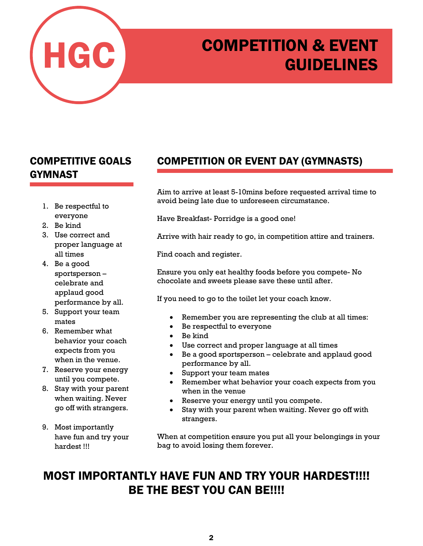

# HGC COMPETITION & EVENT GUIDELINES

PROFESSION OR INDUSTRY | LINK TO OTHER ONLINE

### COMPETITIVE GOALS GYMNAST

- 1. Be respectful to everyone
- 2. Be kind
- 3. Use correct and proper language at all times
- 4. Be a good sportsperson – celebrate and applaud good performance by all.
- 5. Support your team mates
- 6. Remember what behavior your coach expects from you when in the venue.
- 7. Reserve your energy until you compete.
- 8. Stay with your parent when waiting. Never go off with strangers.
- 9. Most importantly have fun and try your hardest !!!

## COMPETITION OR EVENT DAY (GYMNASTS)

Aim to arrive at least 5-10mins before requested arrival time to avoid being late due to unforeseen circumstance.

Have Breakfast- Porridge is a good one!

Arrive with hair ready to go, in competition attire and trainers.

Find coach and register.

Ensure you only eat healthy foods before you compete- No chocolate and sweets please save these until after.

If you need to go to the toilet let your coach know.

- Remember you are representing the club at all times:
- Be respectful to everyone
- Be kind
- Use correct and proper language at all times
- Be a good sportsperson celebrate and applaud good performance by all.
- Support your team mates
- Remember what behavior your coach expects from you when in the venue
- Reserve your energy until you compete.
- Stay with your parent when waiting. Never go off with strangers.

When at competition ensure you put all your belongings in your bag to avoid losing them forever.

## MOST IMPORTANTLY HAVE FUN AND TRY YOUR HARDEST!!!! BE THE BEST YOU CAN BE!!!!